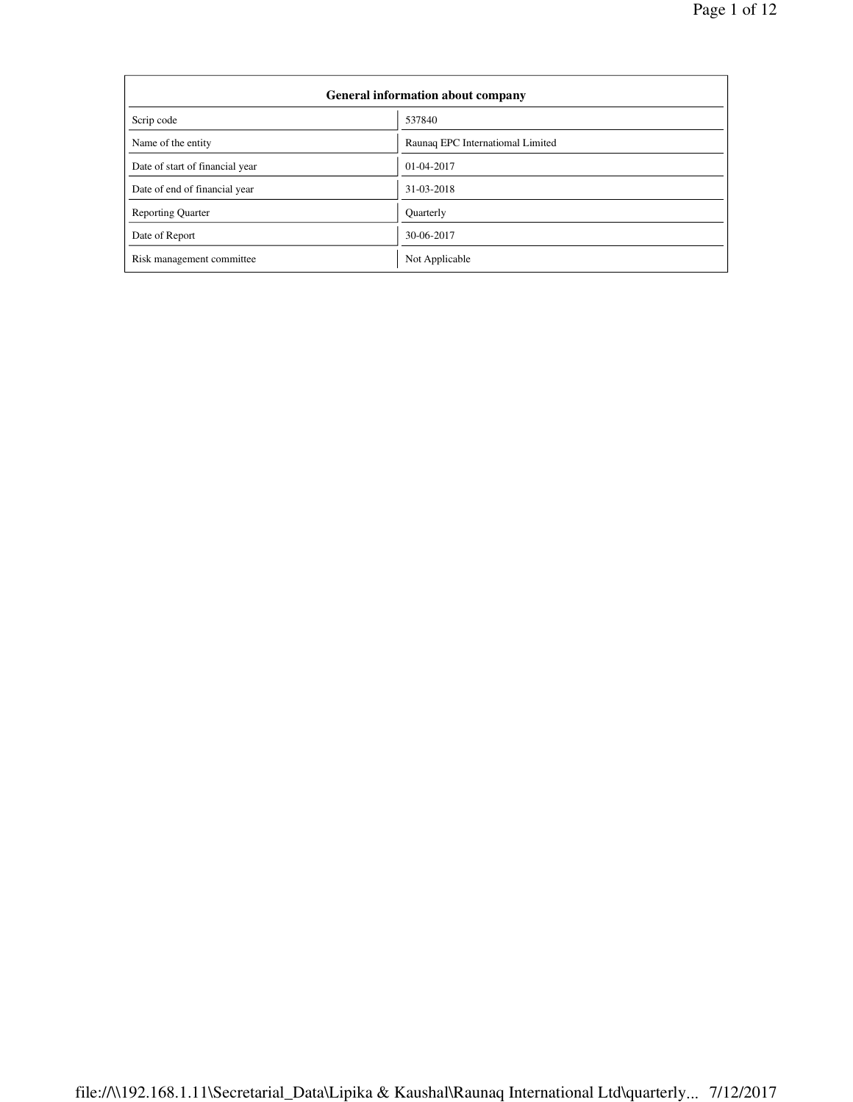| General information about company |                                  |  |  |  |
|-----------------------------------|----------------------------------|--|--|--|
| Scrip code                        | 537840                           |  |  |  |
| Name of the entity                | Raunaq EPC Internatiomal Limited |  |  |  |
| Date of start of financial year   | 01-04-2017                       |  |  |  |
| Date of end of financial year     | 31-03-2018                       |  |  |  |
| <b>Reporting Quarter</b>          | Quarterly                        |  |  |  |
| Date of Report                    | 30-06-2017                       |  |  |  |
| Risk management committee         | Not Applicable                   |  |  |  |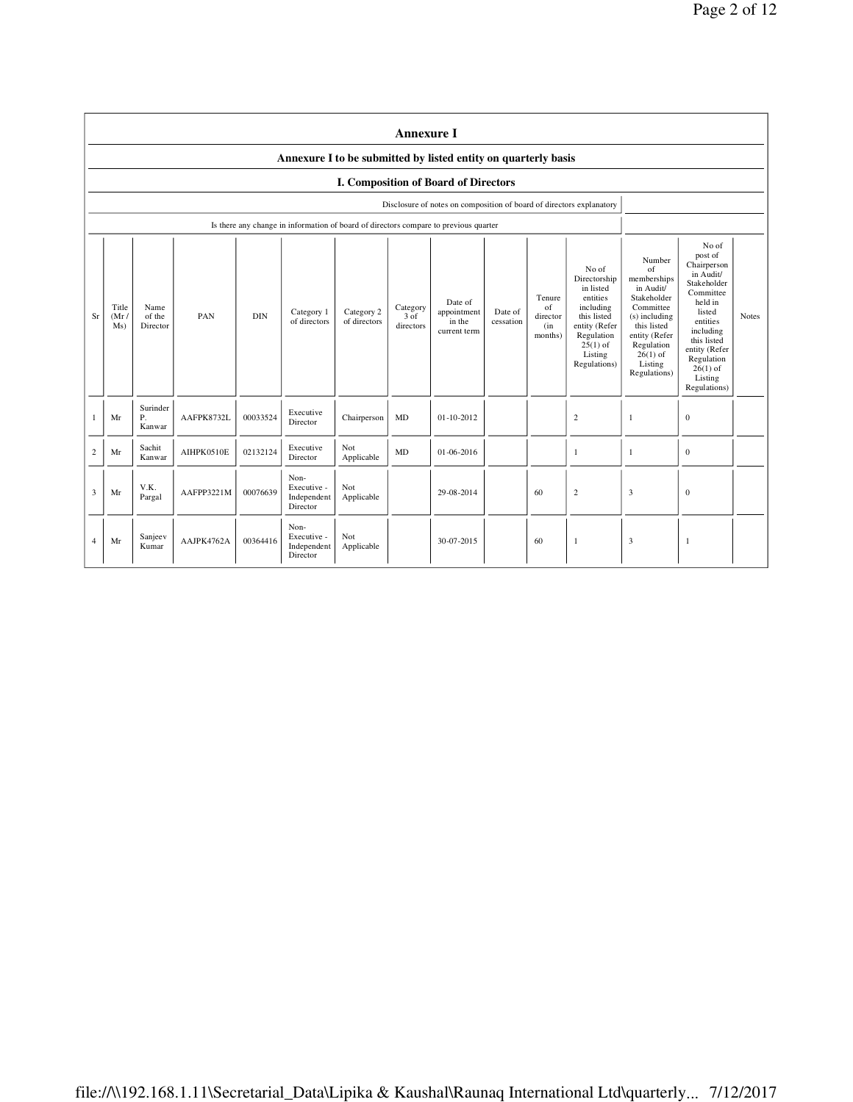|                | <b>Annexure I</b>                                                                                                                                                                                                                                                                                                                                                                                                                                           |                          |            |          |                                                                                      |                   |                                                                                                                                                                              |                                                                                                                                                                                                               |              |    |                |                |              |  |
|----------------|-------------------------------------------------------------------------------------------------------------------------------------------------------------------------------------------------------------------------------------------------------------------------------------------------------------------------------------------------------------------------------------------------------------------------------------------------------------|--------------------------|------------|----------|--------------------------------------------------------------------------------------|-------------------|------------------------------------------------------------------------------------------------------------------------------------------------------------------------------|---------------------------------------------------------------------------------------------------------------------------------------------------------------------------------------------------------------|--------------|----|----------------|----------------|--------------|--|
|                | Annexure I to be submitted by listed entity on quarterly basis                                                                                                                                                                                                                                                                                                                                                                                              |                          |            |          |                                                                                      |                   |                                                                                                                                                                              |                                                                                                                                                                                                               |              |    |                |                |              |  |
|                | I. Composition of Board of Directors                                                                                                                                                                                                                                                                                                                                                                                                                        |                          |            |          |                                                                                      |                   |                                                                                                                                                                              |                                                                                                                                                                                                               |              |    |                |                |              |  |
|                | Disclosure of notes on composition of board of directors explanatory                                                                                                                                                                                                                                                                                                                                                                                        |                          |            |          |                                                                                      |                   |                                                                                                                                                                              |                                                                                                                                                                                                               |              |    |                |                |              |  |
|                |                                                                                                                                                                                                                                                                                                                                                                                                                                                             |                          |            |          | Is there any change in information of board of directors compare to previous quarter |                   |                                                                                                                                                                              |                                                                                                                                                                                                               |              |    |                |                |              |  |
| Sr             | No of<br>Directorship<br>in listed<br>entities<br>Tenure<br>Date of<br>Title<br>Name<br>Category<br>of<br>including<br>Category 2<br>appointment<br>Category 1<br>Date of<br><b>DIN</b><br>PAN<br>$3 \circ f$<br>(Mr)<br>of the<br>this listed<br>director<br>of directors<br>of directors<br>in the<br>cessation<br>directors<br>entity (Refer<br>Ms)<br>Director<br>(in<br>current term<br>months)<br>Regulation<br>$25(1)$ of<br>Listing<br>Regulations) |                          |            |          |                                                                                      |                   | Number<br>of<br>memberships<br>in Audit/<br>Stakeholder<br>Committee<br>(s) including<br>this listed<br>entity (Refer<br>Regulation<br>$26(1)$ of<br>Listing<br>Regulations) | No of<br>post of<br>Chairperson<br>in Audit/<br>Stakeholder<br>Committee<br>held in<br>listed<br>entities<br>including<br>this listed<br>entity (Refer<br>Regulation<br>$26(1)$ of<br>Listing<br>Regulations) | <b>Notes</b> |    |                |                |              |  |
|                | Mr                                                                                                                                                                                                                                                                                                                                                                                                                                                          | Surinder<br>Ρ.<br>Kanwar | AAFPK8732L | 00033524 | Executive<br>Director                                                                | Chairperson       | MD                                                                                                                                                                           | $01 - 10 - 2012$                                                                                                                                                                                              |              |    | $\overline{c}$ | $\overline{1}$ | $\mathbf{0}$ |  |
| $\overline{c}$ | Mr                                                                                                                                                                                                                                                                                                                                                                                                                                                          | Sachit<br>Kanwar         | AIHPK0510E | 02132124 | Executive<br>Director                                                                | Not<br>Applicable | MD                                                                                                                                                                           | $01 - 06 - 2016$                                                                                                                                                                                              |              |    | $\mathbf{1}$   | $\overline{1}$ | $\mathbf{0}$ |  |
| 3              | Mr                                                                                                                                                                                                                                                                                                                                                                                                                                                          | V.K.<br>Pargal           | AAFPP3221M | 00076639 | Non-<br>Executive -<br>Independent<br>Director                                       | Not<br>Applicable |                                                                                                                                                                              | 29-08-2014                                                                                                                                                                                                    |              | 60 | $\overline{c}$ | $\overline{3}$ | $\mathbf{0}$ |  |
| 4              | Mr                                                                                                                                                                                                                                                                                                                                                                                                                                                          | Sanjeev<br>Kumar         | AAJPK4762A | 00364416 | Non-<br>Executive -<br>Independent<br>Director                                       | Not<br>Applicable |                                                                                                                                                                              | 30-07-2015                                                                                                                                                                                                    |              | 60 | $\mathbf{1}$   | 3              | $\mathbf{1}$ |  |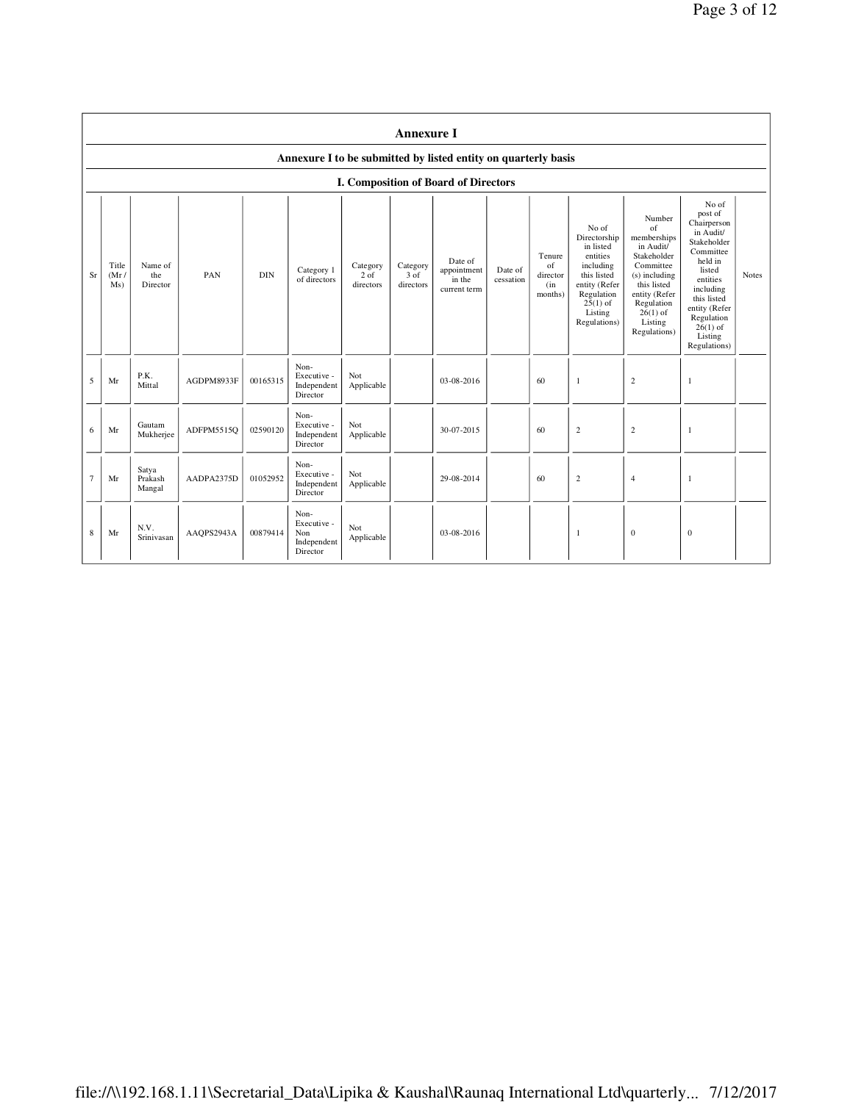|                | <b>Annexure I</b>                                              |                            |            |            |                                                       |                               |                               |                                                  |                      |                                            |                                                                                                                                                    |                                                                                                                                                                              |                                                                                                                                                                                                               |       |
|----------------|----------------------------------------------------------------|----------------------------|------------|------------|-------------------------------------------------------|-------------------------------|-------------------------------|--------------------------------------------------|----------------------|--------------------------------------------|----------------------------------------------------------------------------------------------------------------------------------------------------|------------------------------------------------------------------------------------------------------------------------------------------------------------------------------|---------------------------------------------------------------------------------------------------------------------------------------------------------------------------------------------------------------|-------|
|                | Annexure I to be submitted by listed entity on quarterly basis |                            |            |            |                                                       |                               |                               |                                                  |                      |                                            |                                                                                                                                                    |                                                                                                                                                                              |                                                                                                                                                                                                               |       |
|                |                                                                |                            |            |            |                                                       |                               |                               | <b>I. Composition of Board of Directors</b>      |                      |                                            |                                                                                                                                                    |                                                                                                                                                                              |                                                                                                                                                                                                               |       |
| Sr             | Title<br>(Mr)<br>Ms)                                           | Name of<br>the<br>Director | PAN        | <b>DIN</b> | Category 1<br>of directors                            | Category<br>2 of<br>directors | Category<br>3 of<br>directors | Date of<br>appointment<br>in the<br>current term | Date of<br>cessation | Tenure<br>of<br>director<br>(in<br>months) | No of<br>Directorship<br>in listed<br>entities<br>including<br>this listed<br>entity (Refer<br>Regulation<br>$25(1)$ of<br>Listing<br>Regulations) | Number<br>of<br>memberships<br>in Audit/<br>Stakeholder<br>Committee<br>(s) including<br>this listed<br>entity (Refer<br>Regulation<br>$26(1)$ of<br>Listing<br>Regulations) | No of<br>post of<br>Chairperson<br>in Audit/<br>Stakeholder<br>Committee<br>held in<br>listed<br>entities<br>including<br>this listed<br>entity (Refer<br>Regulation<br>$26(1)$ of<br>Listing<br>Regulations) | Notes |
| 5              | Mr                                                             | P.K.<br>Mittal             | AGDPM8933F | 00165315   | Non-<br>Executive -<br>Independent<br>Director        | Not<br>Applicable             |                               | 03-08-2016                                       |                      | 60                                         | 1                                                                                                                                                  | $\sqrt{2}$                                                                                                                                                                   | $\mathbf{1}$                                                                                                                                                                                                  |       |
| 6              | Mr                                                             | Gautam<br>Mukherjee        | ADFPM5515Q | 02590120   | Non-<br>Executive -<br>Independent<br>Director        | Not<br>Applicable             |                               | 30-07-2015                                       |                      | 60                                         | $\overline{c}$                                                                                                                                     | $\sqrt{2}$                                                                                                                                                                   | 1                                                                                                                                                                                                             |       |
| $\overline{7}$ | Mr                                                             | Satya<br>Prakash<br>Mangal | AADPA2375D | 01052952   | Non-<br>Executive -<br>Independent<br>Director        | Not<br>Applicable             |                               | 29-08-2014                                       |                      | 60                                         | $\mathbf{2}$                                                                                                                                       | $\overline{4}$                                                                                                                                                               | 1                                                                                                                                                                                                             |       |
| 8              | Mr                                                             | N.V.<br>Srinivasan         | AAOPS2943A | 00879414   | Non-<br>Executive -<br>Non<br>Independent<br>Director | Not<br>Applicable             |                               | $03 - 08 - 2016$                                 |                      |                                            | 1                                                                                                                                                  | $\mathbf{0}$                                                                                                                                                                 | $\mathbf{0}$                                                                                                                                                                                                  |       |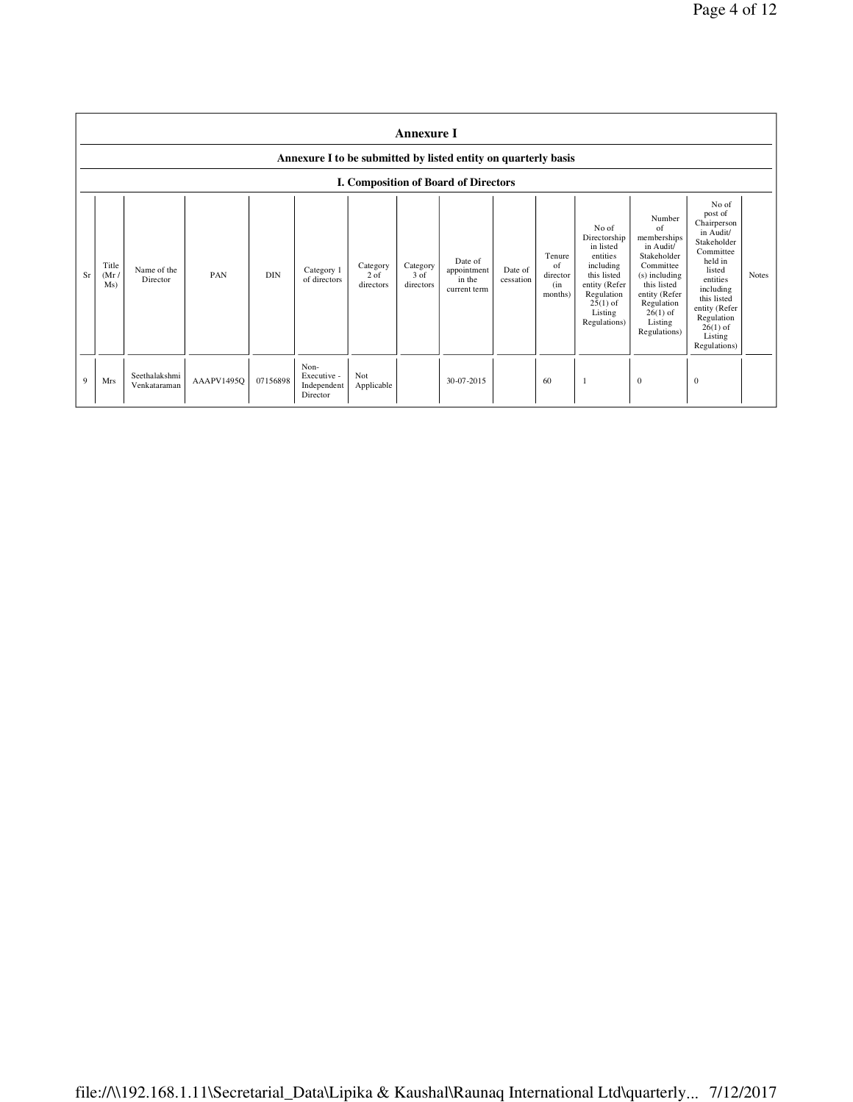|    | <b>Annexure I</b><br>Annexure I to be submitted by listed entity on quarterly basis<br><b>I. Composition of Board of Directors</b> |                               |            |            |                                                |                                 |                               |                                                  |                      |                                            |                                                                                                                                                    |                                                                                                                                                                              |                                                                                                                                                                                                               |              |
|----|------------------------------------------------------------------------------------------------------------------------------------|-------------------------------|------------|------------|------------------------------------------------|---------------------------------|-------------------------------|--------------------------------------------------|----------------------|--------------------------------------------|----------------------------------------------------------------------------------------------------------------------------------------------------|------------------------------------------------------------------------------------------------------------------------------------------------------------------------------|---------------------------------------------------------------------------------------------------------------------------------------------------------------------------------------------------------------|--------------|
| Sr | Title<br>(Mr)<br>Ms)                                                                                                               | Name of the<br>Director       | PAN        | <b>DIN</b> | Category 1<br>of directors                     | Category<br>$2$ of<br>directors | Category<br>3 of<br>directors | Date of<br>appointment<br>in the<br>current term | Date of<br>cessation | Tenure<br>of<br>director<br>(in<br>months) | No of<br>Directorship<br>in listed<br>entities<br>including<br>this listed<br>entity (Refer<br>Regulation<br>$25(1)$ of<br>Listing<br>Regulations) | Number<br>of<br>memberships<br>in Audit/<br>Stakeholder<br>Committee<br>(s) including<br>this listed<br>entity (Refer<br>Regulation<br>$26(1)$ of<br>Listing<br>Regulations) | No of<br>post of<br>Chairperson<br>in Audit/<br>Stakeholder<br>Committee<br>held in<br>listed<br>entities<br>including<br>this listed<br>entity (Refer<br>Regulation<br>$26(1)$ of<br>Listing<br>Regulations) | <b>Notes</b> |
| 9  | <b>Mrs</b>                                                                                                                         | Seethalakshmi<br>Venkataraman | AAAPV1495Q | 07156898   | Non-<br>Executive -<br>Independent<br>Director | Not<br>Applicable               |                               | 30-07-2015                                       |                      | 60                                         |                                                                                                                                                    | $\mathbf{0}$                                                                                                                                                                 | $\mathbf{0}$                                                                                                                                                                                                  |              |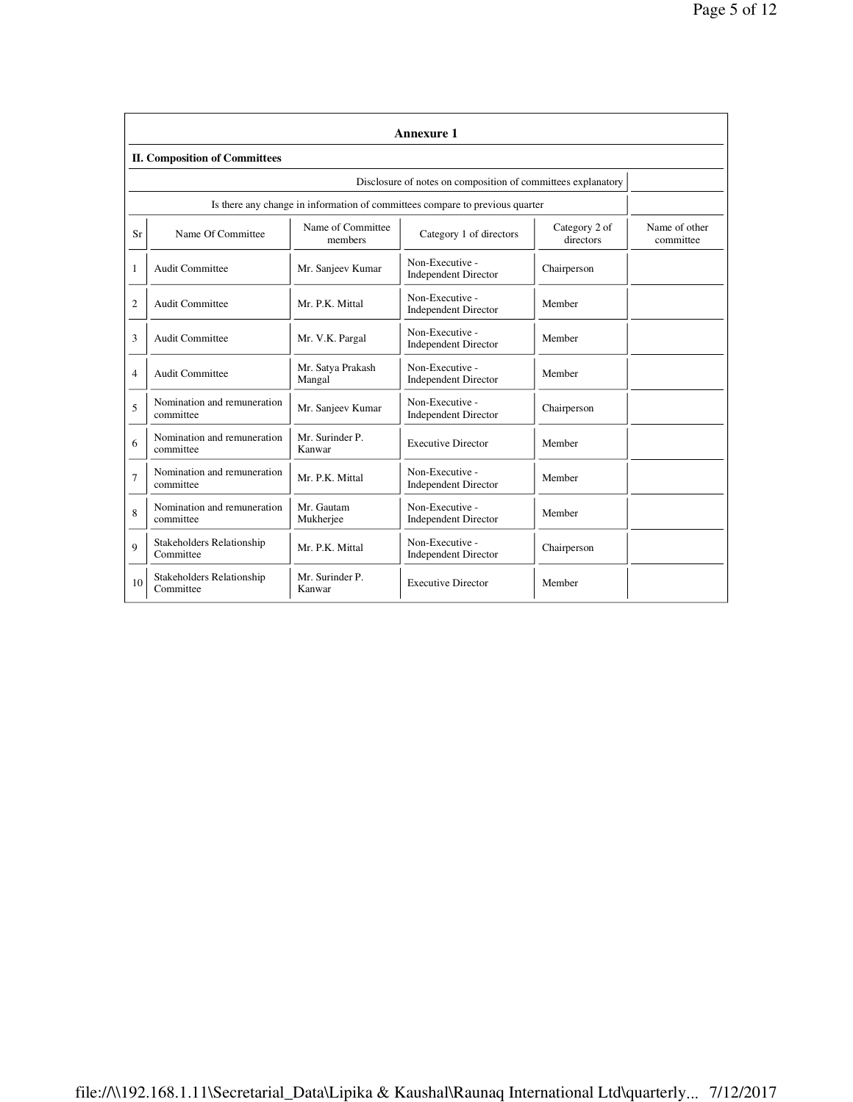|                | Annexure 1                                                                                |                             |                                                |                            |  |  |  |  |  |
|----------------|-------------------------------------------------------------------------------------------|-----------------------------|------------------------------------------------|----------------------------|--|--|--|--|--|
|                | <b>II. Composition of Committees</b>                                                      |                             |                                                |                            |  |  |  |  |  |
|                | Disclosure of notes on composition of committees explanatory                              |                             |                                                |                            |  |  |  |  |  |
|                | Is there any change in information of committees compare to previous quarter              |                             |                                                |                            |  |  |  |  |  |
| Sr             | Name of Committee<br>Name Of Committee<br>Category 1 of directors<br>directors<br>members |                             | Category 2 of                                  | Name of other<br>committee |  |  |  |  |  |
| 1              | <b>Audit Committee</b>                                                                    | Mr. Sanjeev Kumar           | Non-Executive -<br><b>Independent Director</b> | Chairperson                |  |  |  |  |  |
| $\overline{2}$ | <b>Audit Committee</b>                                                                    | Mr. P.K. Mittal             | Non-Executive -<br><b>Independent Director</b> | Member                     |  |  |  |  |  |
| 3              | <b>Audit Committee</b>                                                                    | Mr. V.K. Pargal             | Non-Executive -<br><b>Independent Director</b> | Member                     |  |  |  |  |  |
| 4              | <b>Audit Committee</b>                                                                    | Mr. Satya Prakash<br>Mangal | Non-Executive -<br><b>Independent Director</b> | Member                     |  |  |  |  |  |
| 5              | Nomination and remuneration<br>committee                                                  | Mr. Sanjeev Kumar           | Non-Executive -<br><b>Independent Director</b> | Chairperson                |  |  |  |  |  |
| 6              | Nomination and remuneration<br>committee                                                  | Mr. Surinder P.<br>Kanwar   | <b>Executive Director</b>                      | Member                     |  |  |  |  |  |
| $\overline{7}$ | Nomination and remuneration<br>committee                                                  | Mr. P.K. Mittal             | Non-Executive -<br><b>Independent Director</b> | Member                     |  |  |  |  |  |
| 8              | Nomination and remuneration<br>committee                                                  | Mr. Gautam<br>Mukherjee     | Non-Executive -<br><b>Independent Director</b> | Member                     |  |  |  |  |  |
| 9              | Stakeholders Relationship<br>Committee                                                    | Mr. P.K. Mittal             | Non-Executive -<br><b>Independent Director</b> | Chairperson                |  |  |  |  |  |
| 10             | Stakeholders Relationship<br>Committee                                                    | Mr. Surinder P.<br>Kanwar   | <b>Executive Director</b>                      | Member                     |  |  |  |  |  |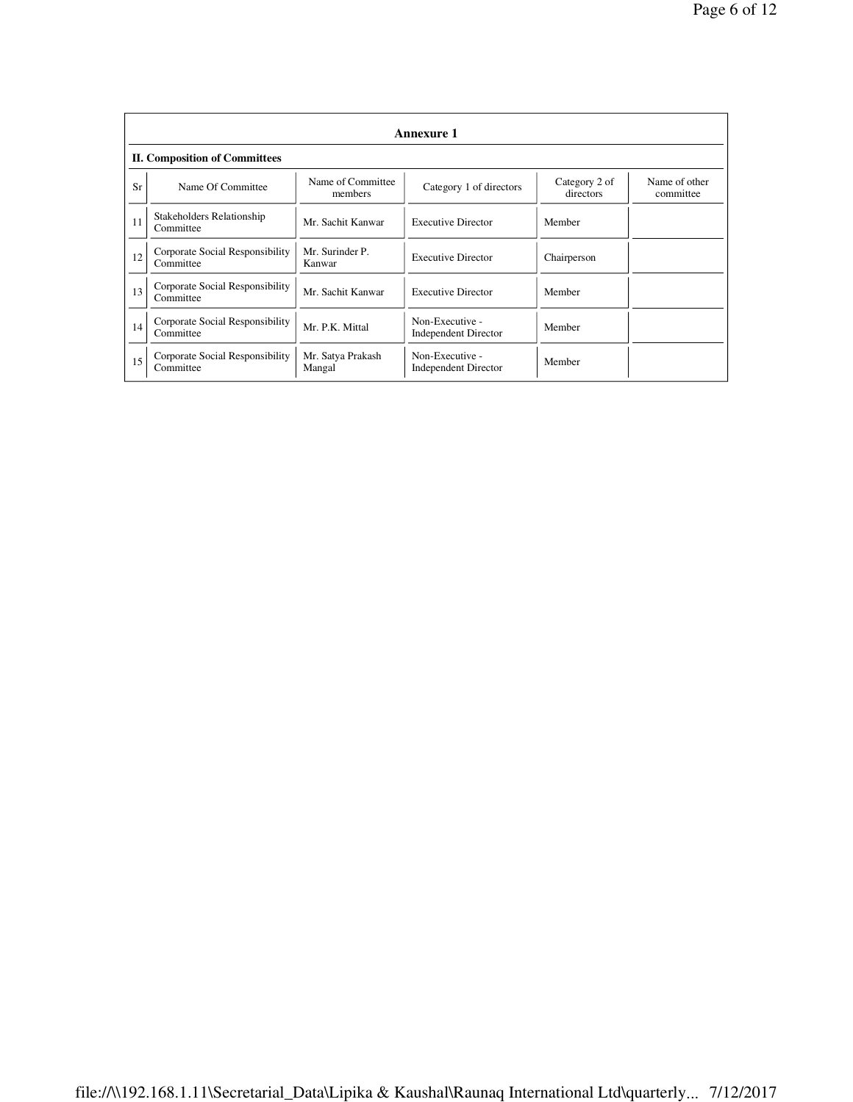|    | Annexure 1                                   |                              |                                                |                            |                            |  |  |  |  |
|----|----------------------------------------------|------------------------------|------------------------------------------------|----------------------------|----------------------------|--|--|--|--|
|    | <b>II. Composition of Committees</b>         |                              |                                                |                            |                            |  |  |  |  |
| Sr | Name Of Committee                            | Name of Committee<br>members | Category 1 of directors                        | Category 2 of<br>directors | Name of other<br>committee |  |  |  |  |
| 11 | Stakeholders Relationship<br>Committee       | Mr. Sachit Kanwar            | <b>Executive Director</b>                      | Member                     |                            |  |  |  |  |
| 12 | Corporate Social Responsibility<br>Committee | Mr. Surinder P.<br>Kanwar    | <b>Executive Director</b>                      | Chairperson                |                            |  |  |  |  |
| 13 | Corporate Social Responsibility<br>Committee | Mr. Sachit Kanwar            | <b>Executive Director</b>                      | Member                     |                            |  |  |  |  |
| 14 | Corporate Social Responsibility<br>Committee | Mr. P.K. Mittal              | Non-Executive -<br><b>Independent Director</b> | Member                     |                            |  |  |  |  |
| 15 | Corporate Social Responsibility<br>Committee | Mr. Satya Prakash<br>Mangal  | Non-Executive -<br><b>Independent Director</b> | Member                     |                            |  |  |  |  |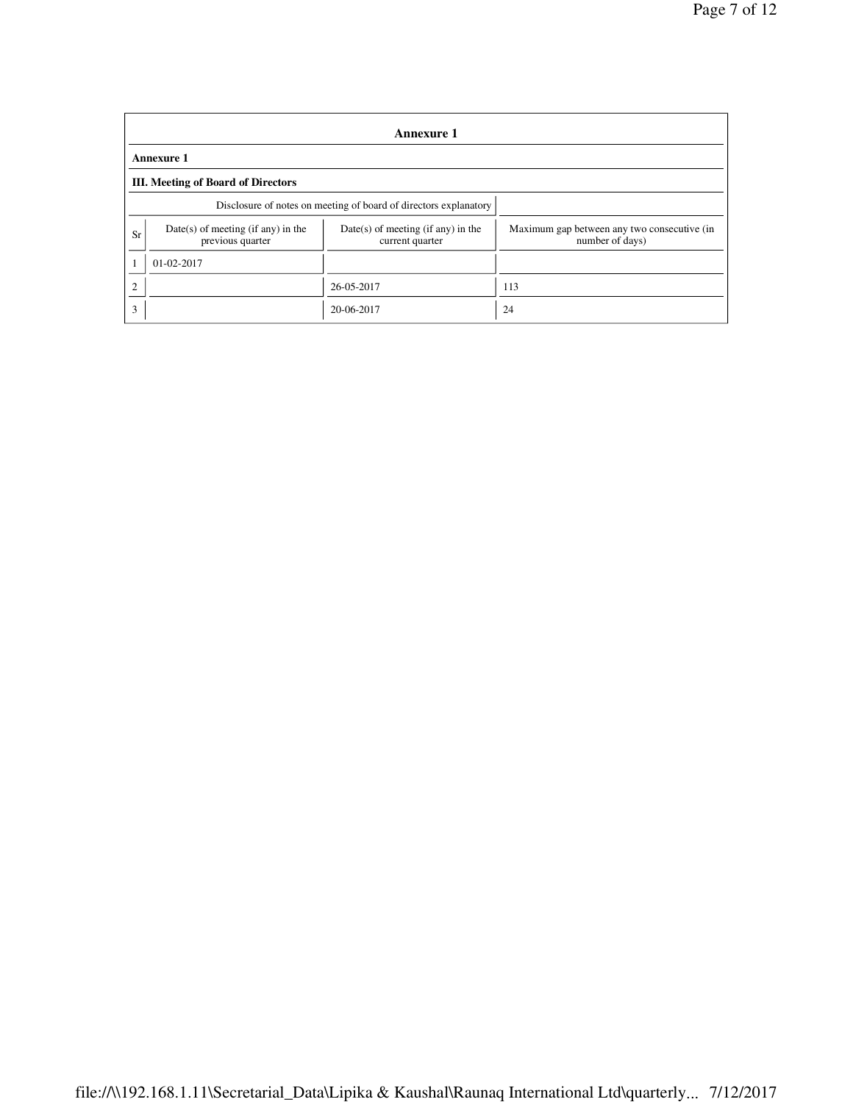|                | <b>Annexure 1</b>                                                |                                                         |                                                                |  |  |  |  |  |
|----------------|------------------------------------------------------------------|---------------------------------------------------------|----------------------------------------------------------------|--|--|--|--|--|
|                | <b>Annexure 1</b>                                                |                                                         |                                                                |  |  |  |  |  |
|                | <b>III.</b> Meeting of Board of Directors                        |                                                         |                                                                |  |  |  |  |  |
|                | Disclosure of notes on meeting of board of directors explanatory |                                                         |                                                                |  |  |  |  |  |
| Sr             | $Date(s)$ of meeting (if any) in the<br>previous quarter         | $Date(s)$ of meeting (if any) in the<br>current quarter | Maximum gap between any two consecutive (in<br>number of days) |  |  |  |  |  |
|                | 01-02-2017                                                       |                                                         |                                                                |  |  |  |  |  |
| $\overline{2}$ |                                                                  | 26-05-2017                                              | 113                                                            |  |  |  |  |  |
| 3              |                                                                  | 20-06-2017                                              | 24                                                             |  |  |  |  |  |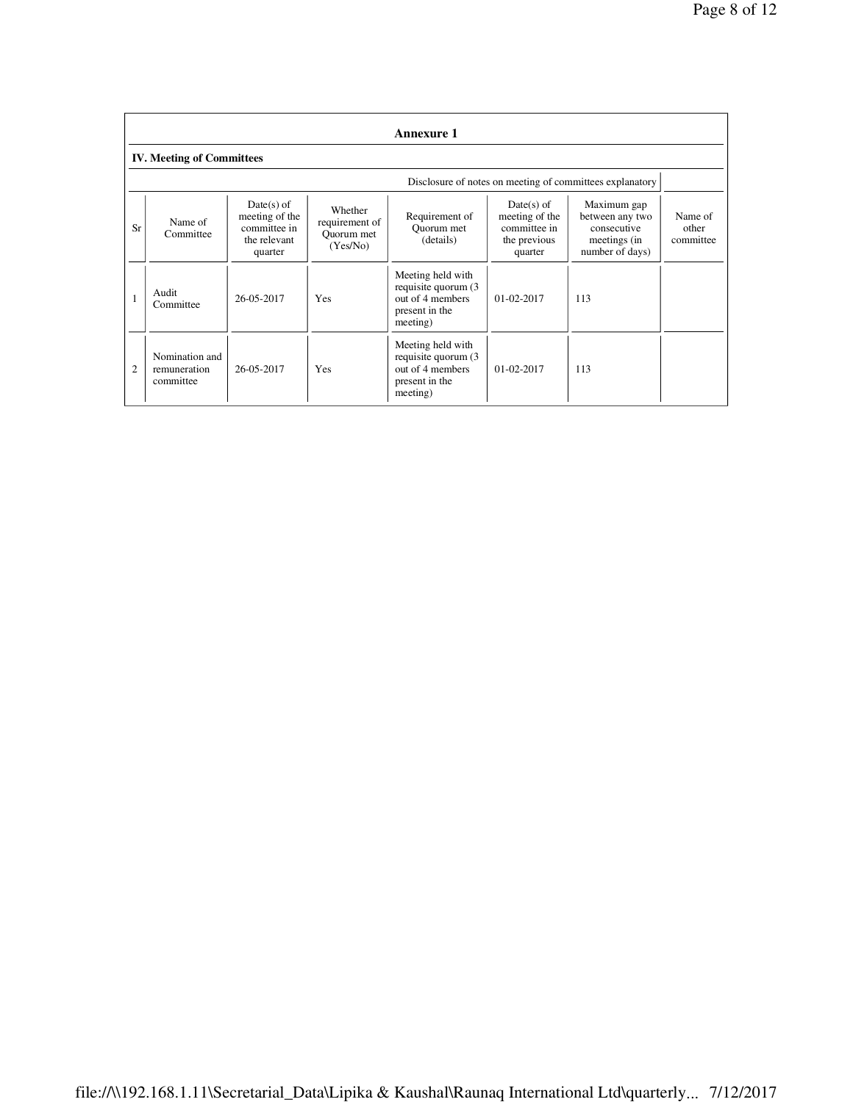|                                  | <b>Annexure 1</b>                                        |                                                                           |                                                     |                                                                                             |                                                                           |                                                                                  |                               |  |
|----------------------------------|----------------------------------------------------------|---------------------------------------------------------------------------|-----------------------------------------------------|---------------------------------------------------------------------------------------------|---------------------------------------------------------------------------|----------------------------------------------------------------------------------|-------------------------------|--|
| <b>IV. Meeting of Committees</b> |                                                          |                                                                           |                                                     |                                                                                             |                                                                           |                                                                                  |                               |  |
|                                  | Disclosure of notes on meeting of committees explanatory |                                                                           |                                                     |                                                                                             |                                                                           |                                                                                  |                               |  |
| Sr                               | Name of<br>Committee                                     | $Date(s)$ of<br>meeting of the<br>committee in<br>the relevant<br>quarter | Whether<br>requirement of<br>Quorum met<br>(Yes/No) | Requirement of<br>Ouorum met<br>(details)                                                   | $Date(s)$ of<br>meeting of the<br>committee in<br>the previous<br>quarter | Maximum gap<br>between any two<br>consecutive<br>meetings (in<br>number of days) | Name of<br>other<br>committee |  |
|                                  | Audit<br>Committee                                       | 26-05-2017                                                                | <b>Yes</b>                                          | Meeting held with<br>requisite quorum (3)<br>out of 4 members<br>present in the<br>meeting) | $01-02-2017$                                                              | 113                                                                              |                               |  |
| $\overline{c}$                   | Nomination and<br>remuneration<br>committee              | 26-05-2017                                                                | <b>Yes</b>                                          | Meeting held with<br>requisite quorum (3)<br>out of 4 members<br>present in the<br>meeting) | $01 - 02 - 2017$                                                          | 113                                                                              |                               |  |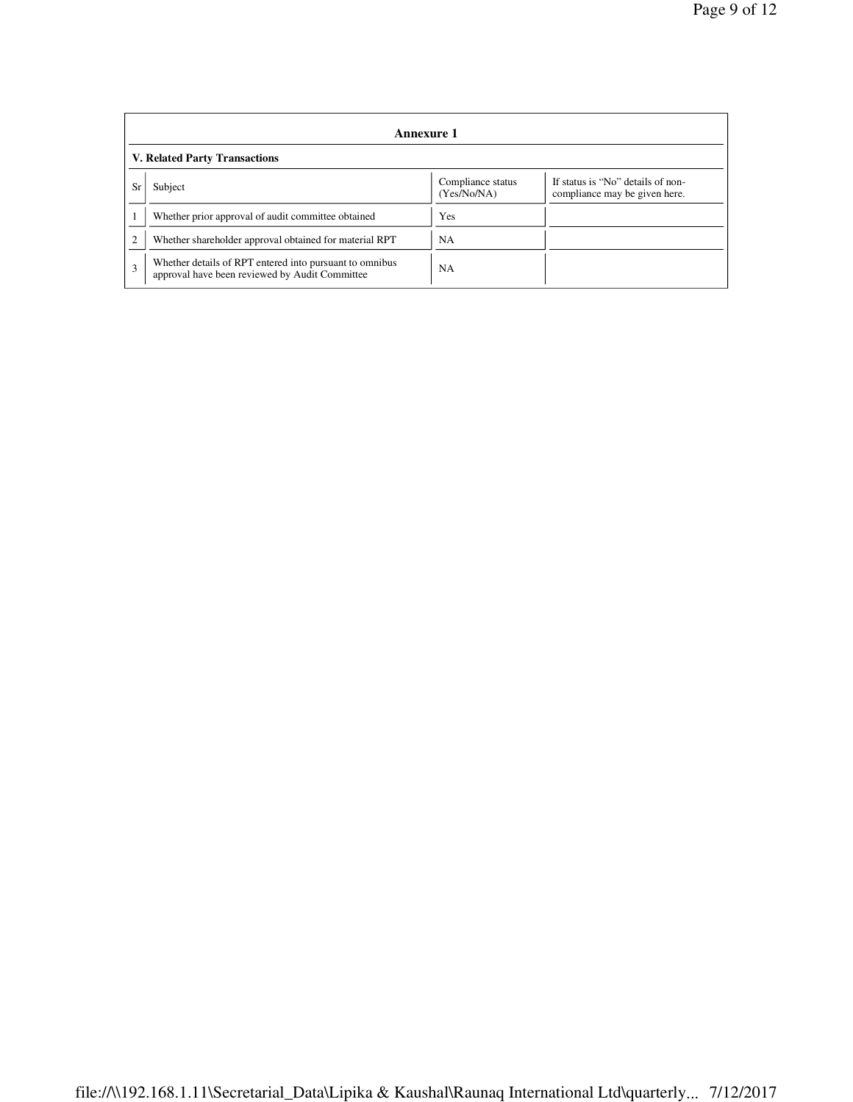|                | Annexure 1                                                                                                |                                  |                                                                    |  |  |  |  |
|----------------|-----------------------------------------------------------------------------------------------------------|----------------------------------|--------------------------------------------------------------------|--|--|--|--|
|                | <b>V. Related Party Transactions</b>                                                                      |                                  |                                                                    |  |  |  |  |
| Sr             | Subject                                                                                                   | Compliance status<br>(Yes/No/NA) | If status is "No" details of non-<br>compliance may be given here. |  |  |  |  |
|                | Whether prior approval of audit committee obtained                                                        | Yes                              |                                                                    |  |  |  |  |
| $\overline{c}$ | Whether shareholder approval obtained for material RPT                                                    | NA                               |                                                                    |  |  |  |  |
| $\mathbf{3}$   | Whether details of RPT entered into pursuant to omnibus<br>approval have been reviewed by Audit Committee | NA                               |                                                                    |  |  |  |  |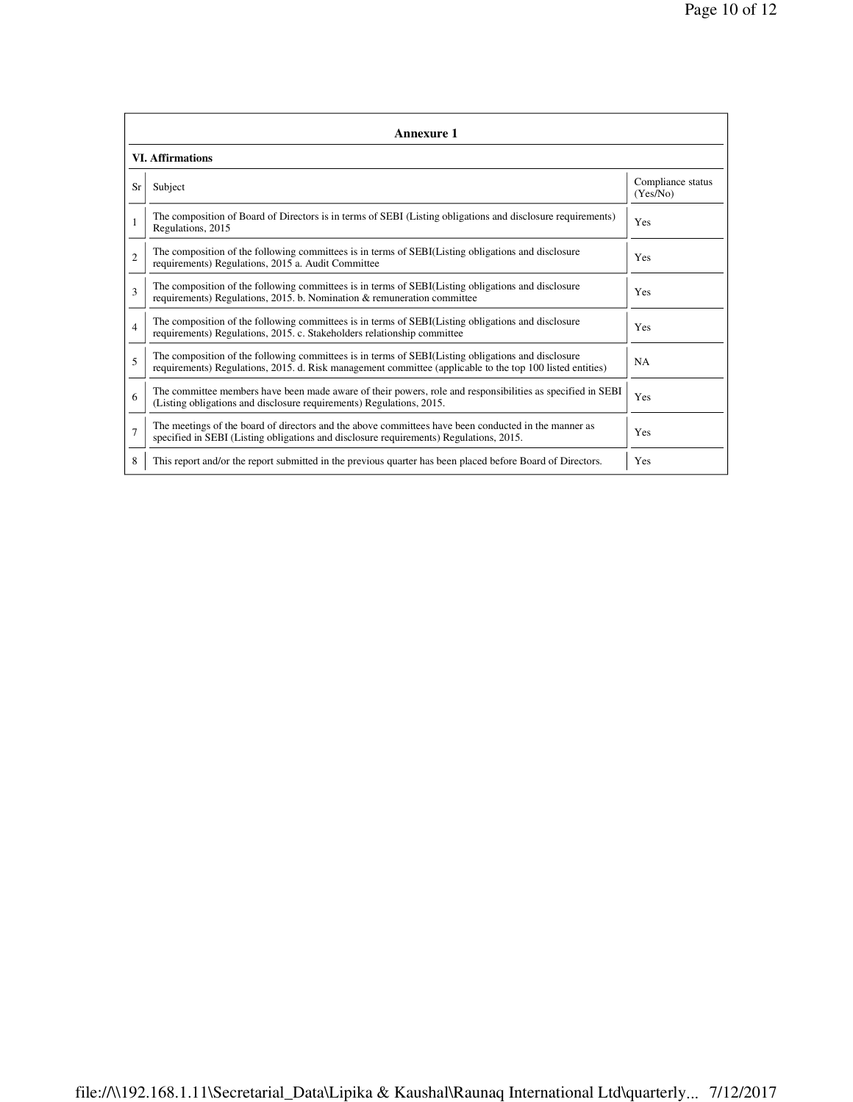|                | Annexure 1                                                                                                                                                                                                      |                               |  |  |  |  |  |  |
|----------------|-----------------------------------------------------------------------------------------------------------------------------------------------------------------------------------------------------------------|-------------------------------|--|--|--|--|--|--|
|                | <b>VI. Affirmations</b>                                                                                                                                                                                         |                               |  |  |  |  |  |  |
| <b>Sr</b>      | Subject                                                                                                                                                                                                         | Compliance status<br>(Yes/No) |  |  |  |  |  |  |
|                | The composition of Board of Directors is in terms of SEBI (Listing obligations and disclosure requirements)<br>Regulations, 2015                                                                                | Yes                           |  |  |  |  |  |  |
| $\overline{c}$ | The composition of the following committees is in terms of SEBI(Listing obligations and disclosure<br>requirements) Regulations, 2015 a. Audit Committee                                                        | Yes                           |  |  |  |  |  |  |
| 3              | The composition of the following committees is in terms of SEBI(Listing obligations and disclosure<br>requirements) Regulations, 2015. b. Nomination & remuneration committee                                   | Yes                           |  |  |  |  |  |  |
| 4              | The composition of the following committees is in terms of SEBI(Listing obligations and disclosure<br>requirements) Regulations, 2015. c. Stakeholders relationship committee                                   | Yes                           |  |  |  |  |  |  |
| 5              | The composition of the following committees is in terms of SEBI(Listing obligations and disclosure<br>requirements) Regulations, 2015. d. Risk management committee (applicable to the top 100 listed entities) | <b>NA</b>                     |  |  |  |  |  |  |
| 6              | The committee members have been made aware of their powers, role and responsibilities as specified in SEBI<br>(Listing obligations and disclosure requirements) Regulations, 2015.                              | Yes                           |  |  |  |  |  |  |
| $\overline{7}$ | The meetings of the board of directors and the above committees have been conducted in the manner as<br>specified in SEBI (Listing obligations and disclosure requirements) Regulations, 2015.                  | Yes                           |  |  |  |  |  |  |
| 8              | This report and/or the report submitted in the previous quarter has been placed before Board of Directors.                                                                                                      | Yes                           |  |  |  |  |  |  |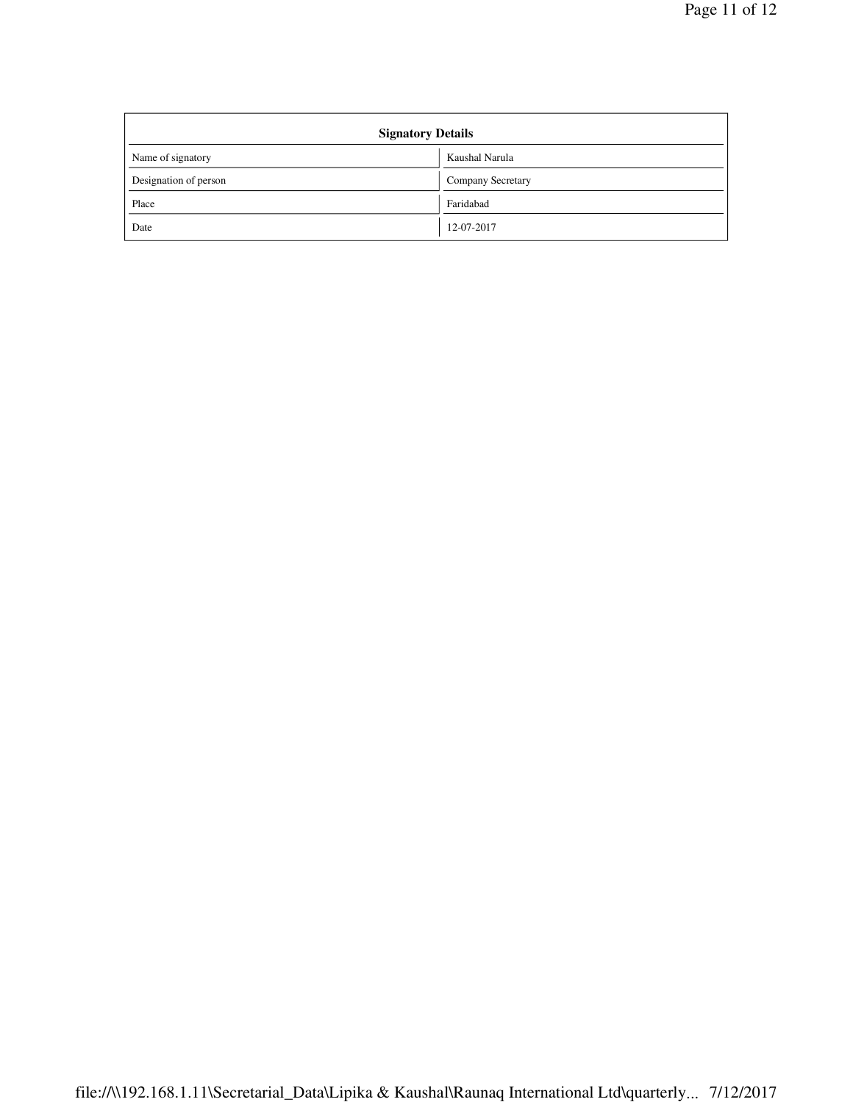| <b>Signatory Details</b> |                   |  |  |  |
|--------------------------|-------------------|--|--|--|
| Name of signatory        | Kaushal Narula    |  |  |  |
| Designation of person    | Company Secretary |  |  |  |
| Place                    | Faridabad         |  |  |  |
| Date                     | 12-07-2017        |  |  |  |